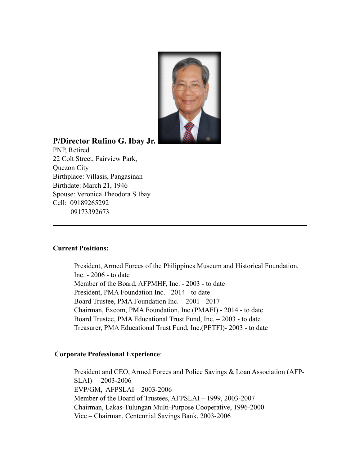

# **P/Director Rufino G. Ibay Jr.**

PNP, Retired 22 Colt Street, Fairview Park, Quezon City Birthplace: Villasis, Pangasinan Birthdate: March 21, 1946 Spouse: Veronica Theodora S Ibay Cell: 09189265292 09173392673

## **Current Positions:**

President, Armed Forces of the Philippines Museum and Historical Foundation, Inc. - 2006 - to date Member of the Board, AFPMHF, Inc. - 2003 - to date President, PMA Foundation Inc. - 2014 - to date Board Trustee, PMA Foundation Inc. – 2001 - 2017 Chairman, Excom, PMA Foundation, Inc.(PMAFI) - 2014 - to date Board Trustee, PMA Educational Trust Fund, Inc. – 2003 - to date Treasurer, PMA Educational Trust Fund, Inc.(PETFI)- 2003 - to date

## **Corporate Professional Experience**:

President and CEO, Armed Forces and Police Savings & Loan Association (AFP- $SLAI$ ) – 2003-2006 EVP/GM, AFPSLAI – 2003-2006 Member of the Board of Trustees, AFPSLAI – 1999, 2003-2007 Chairman, Lakas-Tulungan Multi-Purpose Cooperative, 1996-2000 Vice – Chairman, Centennial Savings Bank, 2003-2006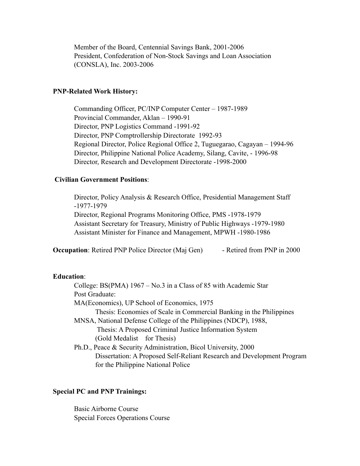Member of the Board, Centennial Savings Bank, 2001-2006 President, Confederation of Non-Stock Savings and Loan Association (CONSLA), Inc. 2003-2006

#### **PNP-Related Work History:**

 Commanding Officer, PC/INP Computer Center – 1987-1989 Provincial Commander, Aklan – 1990-91 Director, PNP Logistics Command -1991-92 Director, PNP Comptrollership Directorate 1992-93 Regional Director, Police Regional Office 2, Tuguegarao, Cagayan – 1994-96 Director, Philippine National Police Academy, Silang, Cavite, - 1996-98 Director, Research and Development Directorate -1998-2000

#### **Civilian Government Positions**:

Director, Policy Analysis & Research Office, Presidential Management Staff -1977-1979 Director, Regional Programs Monitoring Office, PMS -1978-1979 Assistant Secretary for Treasury, Ministry of Public Highways -1979-1980 Assistant Minister for Finance and Management, MPWH -1980-1986

**Occupation**: Retired PNP Police Director (Maj Gen) - Retired from PNP in 2000

#### **Education**:

 College: BS(PMA) 1967 – No.3 in a Class of 85 with Academic Star Post Graduate: MA(Economics), UP School of Economics, 1975 Thesis: Economies of Scale in Commercial Banking in the Philippines MNSA, National Defense College of the Philippines (NDCP), 1988, Thesis: A Proposed Criminal Justice Information System (Gold Medalist for Thesis)

 Ph.D., Peace & Security Administration, Bicol University, 2000 Dissertation: A Proposed Self-Reliant Research and Development Program for the Philippine National Police

## **Special PC and PNP Trainings:**

 Basic Airborne Course Special Forces Operations Course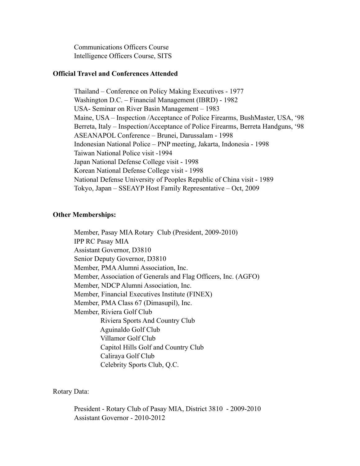Communications Officers Course Intelligence Officers Course, SITS

#### **Official Travel and Conferences Attended**

 Thailand – Conference on Policy Making Executives - 1977 Washington D.C. – Financial Management (IBRD) - 1982 USA- Seminar on River Basin Management – 1983 Maine, USA – Inspection /Acceptance of Police Firearms, BushMaster, USA, '98 Berreta, Italy – Inspection/Acceptance of Police Firearms, Berreta Handguns, '98 ASEANAPOL Conference – Brunei, Darussalam - 1998 Indonesian National Police – PNP meeting, Jakarta, Indonesia - 1998 Taiwan National Police visit -1994 Japan National Defense College visit - 1998 Korean National Defense College visit - 1998 National Defense University of Peoples Republic of China visit - 1989 Tokyo, Japan – SSEAYP Host Family Representative – Oct, 2009

### **Other Memberships:**

 Member, Pasay MIA Rotary Club (President, 2009-2010) IPP RC Pasay MIA Assistant Governor, D3810 Senior Deputy Governor, D3810 Member, PMA Alumni Association, Inc. Member, Association of Generals and Flag Officers, Inc. (AGFO) Member, NDCP Alumni Association, Inc. Member, Financial Executives Institute (FINEX) Member, PMA Class 67 (Dimasupil), Inc. Member, Riviera Golf Club Riviera Sports And Country Club Aguinaldo Golf Club Villamor Golf Club Capitol Hills Golf and Country Club Caliraya Golf Club Celebrity Sports Club, Q.C.

Rotary Data:

 President - Rotary Club of Pasay MIA, District 3810 - 2009-2010 Assistant Governor - 2010-2012